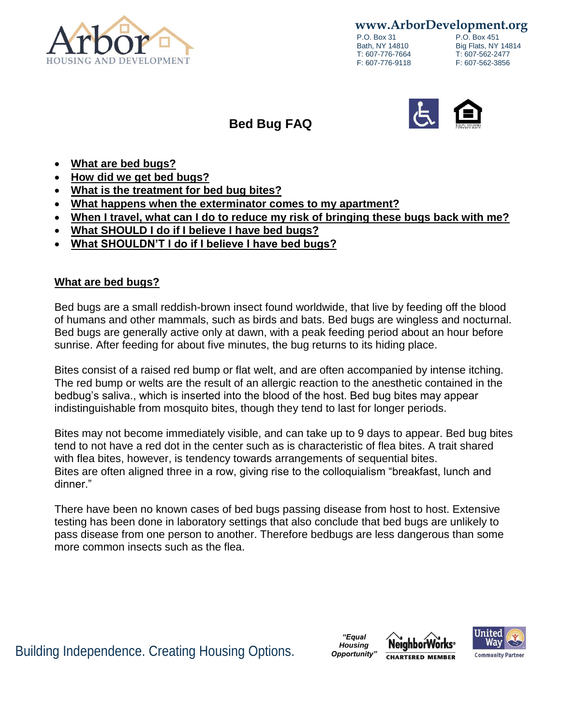

**www.ArborDevelopment.org**

P.O. Box 31 P.O. Box 451<br>Bath, NY 14810 Big Flats, NY T: 607-776-7664

Big Flats, NY 14814<br>T: 607-562-2477 F: 607-776-9118 F: 607-562-3856



# **Bed Bug FAQ**

- **What are bed bugs?**
- **How did we get bed bugs?**
- **What is the treatment for bed bug bites?**
- **What happens when the exterminator comes to my apartment?**
- **When I travel, what can I do to reduce my risk of bringing these bugs back with me?**
- **What SHOULD I do if I believe I have bed bugs?**
- **What SHOULDN'T I do if I believe I have bed bugs?**

#### **What are bed bugs?**

Bed bugs are a small reddish-brown insect found worldwide, that live by feeding off the blood of humans and other mammals, such as birds and bats. Bed bugs are wingless and nocturnal. Bed bugs are generally active only at dawn, with a peak feeding period about an hour before sunrise. After feeding for about five minutes, the bug returns to its hiding place.

Bites consist of a raised red bump or flat welt, and are often accompanied by intense itching. The red bump or welts are the result of an allergic reaction to the anesthetic contained in the bedbug's saliva., which is inserted into the blood of the host. Bed bug bites may appear indistinguishable from mosquito bites, though they tend to last for longer periods.

Bites may not become immediately visible, and can take up to 9 days to appear. Bed bug bites tend to not have a red dot in the center such as is characteristic of flea bites. A trait shared with flea bites, however, is tendency towards arrangements of sequential bites. Bites are often aligned three in a row, giving rise to the colloquialism "breakfast, lunch and dinner."

There have been no known cases of bed bugs passing disease from host to host. Extensive testing has been done in laboratory settings that also conclude that bed bugs are unlikely to pass disease from one person to another. Therefore bedbugs are less dangerous than some more common insects such as the flea.

**Building Independence. Creating Housing Options.** *Housing* **Neighborworks**<sup>®</sup>

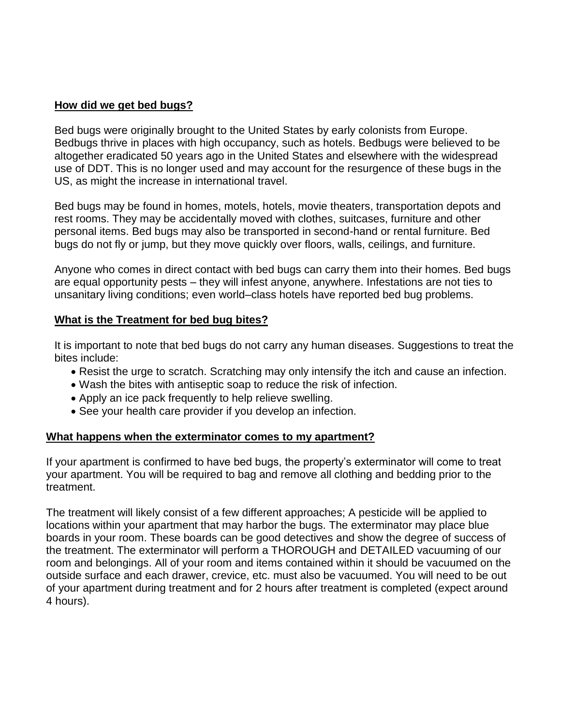# **How did we get bed bugs?**

Bed bugs were originally brought to the United States by early colonists from Europe. Bedbugs thrive in places with high occupancy, such as hotels. Bedbugs were believed to be altogether eradicated 50 years ago in the United States and elsewhere with the widespread use of DDT. This is no longer used and may account for the resurgence of these bugs in the US, as might the increase in international travel.

Bed bugs may be found in homes, motels, hotels, movie theaters, transportation depots and rest rooms. They may be accidentally moved with clothes, suitcases, furniture and other personal items. Bed bugs may also be transported in second-hand or rental furniture. Bed bugs do not fly or jump, but they move quickly over floors, walls, ceilings, and furniture.

Anyone who comes in direct contact with bed bugs can carry them into their homes. Bed bugs are equal opportunity pests – they will infest anyone, anywhere. Infestations are not ties to unsanitary living conditions; even world–class hotels have reported bed bug problems.

# **What is the Treatment for bed bug bites?**

It is important to note that bed bugs do not carry any human diseases. Suggestions to treat the bites include:

- Resist the urge to scratch. Scratching may only intensify the itch and cause an infection.
- Wash the bites with antiseptic soap to reduce the risk of infection.
- Apply an ice pack frequently to help relieve swelling.
- See your health care provider if you develop an infection.

#### **What happens when the exterminator comes to my apartment?**

If your apartment is confirmed to have bed bugs, the property's exterminator will come to treat your apartment. You will be required to bag and remove all clothing and bedding prior to the treatment.

The treatment will likely consist of a few different approaches; A pesticide will be applied to locations within your apartment that may harbor the bugs. The exterminator may place blue boards in your room. These boards can be good detectives and show the degree of success of the treatment. The exterminator will perform a THOROUGH and DETAILED vacuuming of our room and belongings. All of your room and items contained within it should be vacuumed on the outside surface and each drawer, crevice, etc. must also be vacuumed. You will need to be out of your apartment during treatment and for 2 hours after treatment is completed (expect around 4 hours).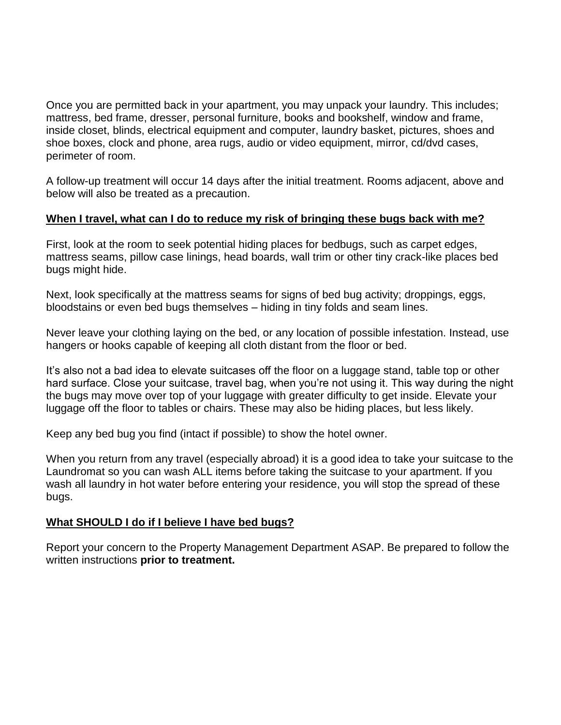Once you are permitted back in your apartment, you may unpack your laundry. This includes; mattress, bed frame, dresser, personal furniture, books and bookshelf, window and frame, inside closet, blinds, electrical equipment and computer, laundry basket, pictures, shoes and shoe boxes, clock and phone, area rugs, audio or video equipment, mirror, cd/dvd cases, perimeter of room.

A follow-up treatment will occur 14 days after the initial treatment. Rooms adjacent, above and below will also be treated as a precaution.

# **When I travel, what can I do to reduce my risk of bringing these bugs back with me?**

First, look at the room to seek potential hiding places for bedbugs, such as carpet edges, mattress seams, pillow case linings, head boards, wall trim or other tiny crack-like places bed bugs might hide.

Next, look specifically at the mattress seams for signs of bed bug activity; droppings, eggs, bloodstains or even bed bugs themselves – hiding in tiny folds and seam lines.

Never leave your clothing laying on the bed, or any location of possible infestation. Instead, use hangers or hooks capable of keeping all cloth distant from the floor or bed.

It's also not a bad idea to elevate suitcases off the floor on a luggage stand, table top or other hard surface. Close your suitcase, travel bag, when you're not using it. This way during the night the bugs may move over top of your luggage with greater difficulty to get inside. Elevate your luggage off the floor to tables or chairs. These may also be hiding places, but less likely.

Keep any bed bug you find (intact if possible) to show the hotel owner.

When you return from any travel (especially abroad) it is a good idea to take your suitcase to the Laundromat so you can wash ALL items before taking the suitcase to your apartment. If you wash all laundry in hot water before entering your residence, you will stop the spread of these bugs.

#### **What SHOULD I do if I believe I have bed bugs?**

Report your concern to the Property Management Department ASAP. Be prepared to follow the written instructions **prior to treatment.**